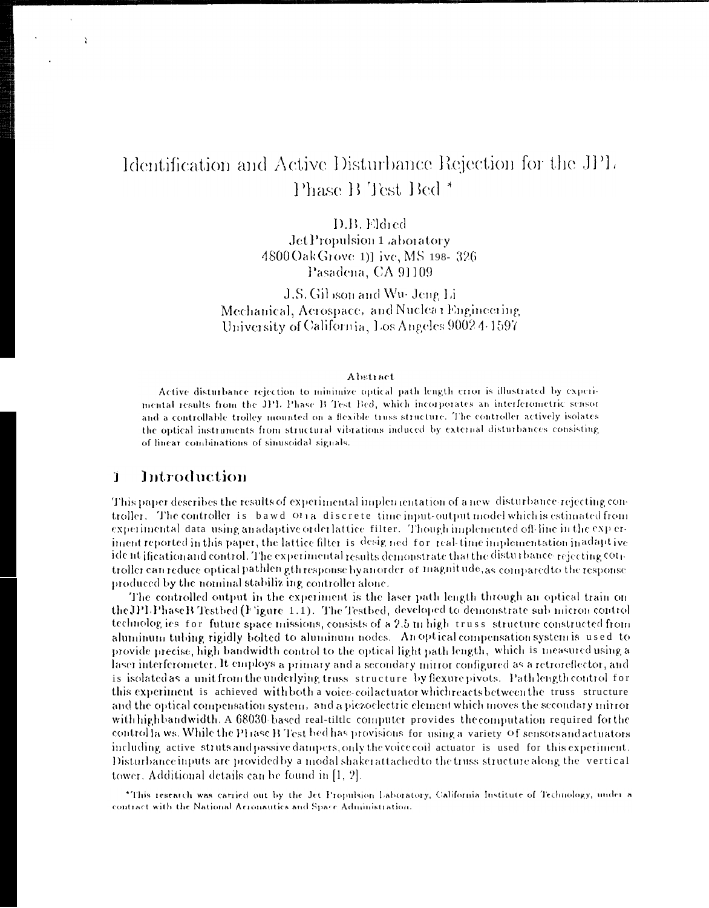# Identification and Active Disturbance Rejection for the JPL Phase B Test Bed<sup>\*</sup>

D.B. Eldred JetPropulsion 1 aboratory 4800 Oak Grove 1)1 ive, MS 198-326 Pasadena, CA 91109

J.S. Gibson and Wu- Jeng Li Mechanical, Aerospace, and Nuclea i Engineering University of California, Los Angeles 9002 4-1597

#### Abstract

Active disturbance rejection to minimize optical path length error is illustrated by experimental results from the JPL Phase B Test Bed, which incorporates an interferometric sensor and a controllable trolley mounted on a flexible truss structure. The controller actively isolates the optical instruments from structural vibrations induced by external disturbances consisting of linear combinations of sinusoidal signals.

#### Introduction Ï

 $\mathcal{X}$ 

This paper describes the results of experimental implementation of a new disturbance-rejecting controller. The controller is bawd on a discrete time input-output model which is estimated from experimental data using an adaptive order lattice filter. Though implemented off-line in the experiment reported in this paper, the lattice filter is designed for real-time implementation in adaptive ide nt ification and control. The experimental results demonstrate that the disturbance-rejecting controller can reduce optical pathlen gth response by an order of magnitude, as compared to the response produced by the nominal stabilizing controller alone.

The controlled output in the experiment is the laser path length through an optical train on the JPLPhase B Testbed (Figure 1.1). The Testbed, developed to demonstrate sub micron control technolog ics for future space missions, consists of a 2.5 m high truss structure constructed from aluminum tubing rigidly bolted to aluminum nodes. An optical compensation system is used to provide precise, high bandwidth control to the optical light path length, which is measured using a laser interferometer. It employs a primary and a secondary mirror configured as a retroreflector, and is isolated as a unit from the underlying truss structure by flexure pivots. Pathlength control for this experiment is achieved with both a voice-coil actuator which reacts between the truss structure and the optical compensation system, and a piezoelectric element which moves the secondary mirror with high bandwidth. A 68030 based real-tiltle computer provides the computation required for the control la ws. While the Pl lase B Test bed has provisions for using a variety of sensors and actuators including active struts and passive dampers, only the voice coil actuator is used for this experiment. Disturbance inputs are provided by a modal shaker attached to the truss structure along the vertical tower. Additional details can be found in [1, 2].

\*This research was carried out by the Jet Propulsion Laboratory, California Institute of Technology, under a contract with the National Acronautics and Space Administration.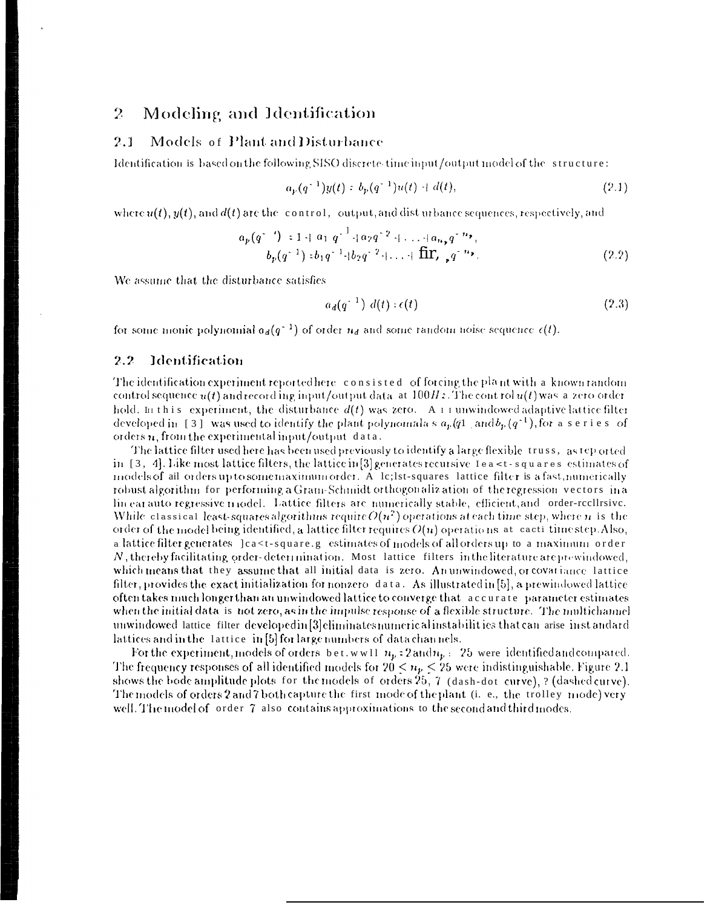#### $\overline{2}$ Modeling and Identification

#### 2.1 Models of Plant and Disturbance

Identification is based on the following SISO discrete-time input/output model of the structure:

$$
a_p(q^{-1})y(t) = b_p(q^{-1})u(t) + d(t), \qquad (2.1)
$$

where  $u(t)$ ,  $y(t)$ , and  $d(t)$  are the control, output, and dist urbance sequences, respectively, and

$$
a_p(q^{z-1}) = 1 + a_1 q^{z-1} + a_2 q^{z-2} + \ldots + a_{n_p} q^{z-n_p},
$$
  
\n
$$
b_p(q^{z-1}) = b_1 q^{z-1} + b_2 q^{z-2} + \ldots + \text{fir}, \quad p^{q^{z-n_p}}.
$$
\n(2.2)

We assume that the disturbance satisfies

$$
a_d(q^{-1}) d(t) \cdot \epsilon(t) \tag{2.3}
$$

for some monic polynomial  $a_d(q^{-1})$  of order  $n_d$  and some random noise sequence  $\epsilon(t)$ .

#### Identification 2.2

The identification experiment reported here consisted of forcing the plant with a known random control sequence  $u(t)$  and record ing input/output data at  $100Hz$ . The control  $u(t)$  was a zero order hold. In this experiment, the disturbance  $d(t)$  was zero. A  $\tau$  runwindowed adaptive lattice filter developed in [3] was used to identify the plant polynomials  $s a_p(q_1 \text{ and } b_p(q^{-1}),$  for a series of orders  $n$ , from the experimental input/output data.

The lattice filter used here has been used previously to identify a large flexible truss, as tep orted in [3, 4]. Like most lattice filters, the lattice in [3] generates recursive Least-squares estimates of models of ail orders up to some maximum order. A le; lst-squares lattice filter is a fast, numerically robust algorithm for performing a Gram-Schmidt orthogonalization of the regression vectors in a lin ear auto regressive model. Lattice filters are numerically stable, efficient, and order-recllrsive. While classical least-squares algorithms require  $O(n^2)$  operations at each time step, where n is the order of the model being identified, a lattice filter requires  $O(n)$  operations at cacti-time step. Also, a lattice filter generates ]ca<t-square.g estimates of models of all orders up to a maximum order N, thereby facilitating order-determination. Most lattice filters in the literature are prewindowed, which means that they assume that all initial data is zero. An unwindowed, or covariance lattice filter, provides the exact initialization for nonzero data. As illustrated in [5], a prewindowed lattice often takes much longer than an unwindowed lattice to converge that accurate parameter estimates when the initial data is not zero, as in the impulse response of a flexible structure. The multichannel unwindowed lattice filter developed in [3] eliminates numeric alinstabilities that can arise in standard lattices and in the lattice in [5] for large numbers of data channels.

For the experiment, models of orders bet. ww11  $n_p$ : 2and $n_p$ : 25 were identified and compared.<br>The frequency responses of all identified models for  $20 \le n_p \le 25$  were indistinguishable. Figure 2.1 shows the bode amplitud The models of orders 2 and 7 both capture the first mode of the plant (i. e., the trolley mode) very well. The model of order 7 also contains approximations to the second and third modes.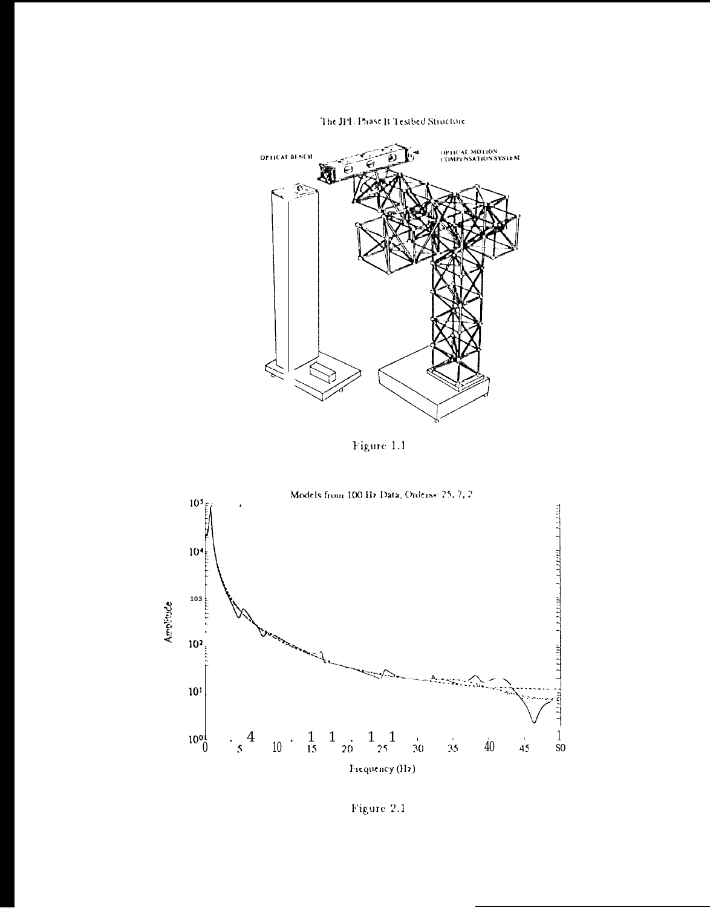The JPL Phase B Tesibed Structure



Figure 1.1



Figure 2.1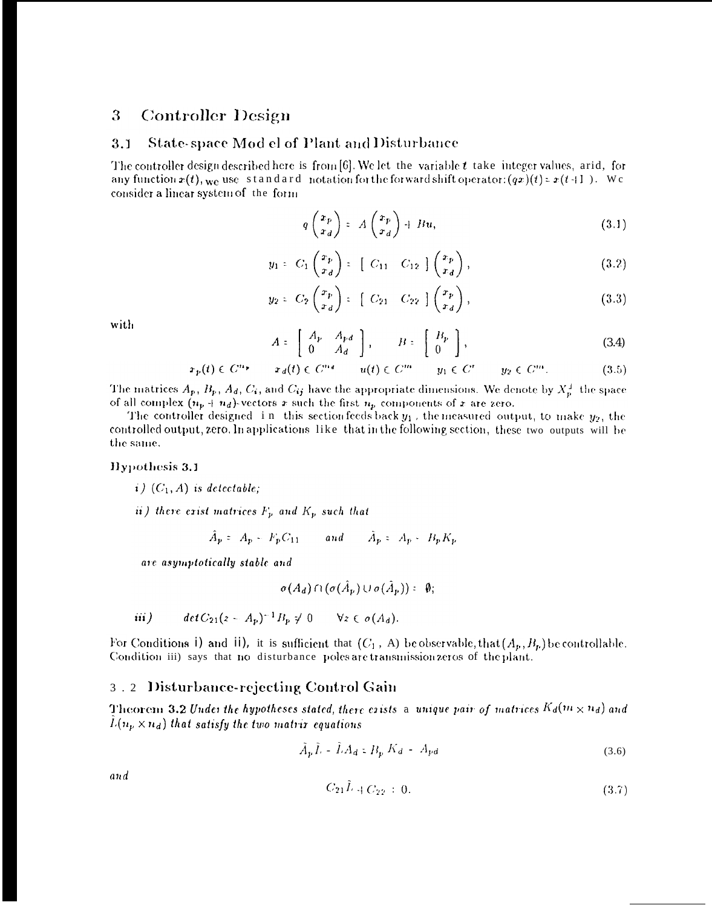#### **Controller Design** 3

#### State-space Mod el of Plant and Disturbance  $3.1$

The controller design described here is from [6]. We let the variable t take integer values, arid, for any function  $x(t)$ , we use standard notation for the forward shift operator:  $(qx)(t) = x(t+1)$ . We consider a linear system of the form

$$
q\begin{pmatrix} x_p \\ x_d \end{pmatrix} = A\begin{pmatrix} x_p \\ x_d \end{pmatrix} + Bu,
$$
\n(3.1)

$$
y_1: C_1 \begin{pmatrix} x_p \\ x_d \end{pmatrix} : \begin{bmatrix} C_{11} & C_{12} \end{bmatrix} \begin{pmatrix} x_p \\ x_d \end{pmatrix}, \qquad (3.2)
$$

$$
y_2: C_2\begin{pmatrix} x_p \\ x_d \end{pmatrix}: \begin{bmatrix} C_{21} & C_{22} \end{bmatrix} \begin{pmatrix} x_p \\ x_d \end{pmatrix}, \qquad (3.3)
$$

with

$$
A = \left[ \begin{array}{cc} A_{\rm P} & A_{\rm P}d \\ 0 & A_d \end{array} \right], \qquad B = \left[ \begin{array}{c} B_{\rm P} \\ 0 \end{array} \right], \tag{3.4}
$$

$$
x_p(t) \in C^{n_p} \qquad x_d(t) \in C^{n_d} \qquad u(t) \in C^m \qquad y_1 \in C^r \qquad y_2 \in C^m. \tag{3.5}
$$

The matrices  $A_p$ ,  $B_p$ ,  $A_d$ ,  $C_i$ , and  $C_{ij}$  have the appropriate dimensions. We denote by  $X_p^{\perp}$  the space of all complex  $(n_p + n_d)$ -vectors x such the first  $n_p$  components of x are zero.

The controller designed in this section feeds back  $y_1$ , the measured output, to make  $y_2$ , the controlled output, zero. In applications like that in the following section, these two outputs will be the same.

#### Hypothesis 3.1

- *i*)  $(C_1, A)$  is detectable;
- ii) there exist matrices  $F_p$  and  $K_p$  such that

$$
A_p = A_p - F_p C_{11} \qquad \text{and} \qquad A_p = A_p - B_p K_p
$$

are asymptotically stable and

$$
\sigma(A_d) \cap (\sigma(\hat{A}_p) \cup \sigma(\hat{A}_p)) = \emptyset;
$$

iii) 
$$
det C_{21}(z - A_p)^{-1} B_p \neq 0 \quad \forall z \in \sigma(A_d).
$$

For Conditions i) and ii), it is sufficient that  $(C_1, A)$  be observable, that  $(A_p, B_p)$  be controllable. Condition iii) says that no disturbance poles are transmission zeros of the plant.

### 3.2 Disturbance-rejecting Control Gain

Theorem 3.2 Under the hypotheses stated, there exists a unique pair of matrices  $K_d(m \times n_d)$  and  $L(n_p \times n_d)$  that satisfy the two matrix equations

$$
\tilde{A}_{\mathbf{p}}\tilde{L} - \tilde{L}A_{\mathbf{d}} \pm B_{\mathbf{p}}K_{\mathbf{d}} - A_{\mathbf{p}\mathbf{d}} \tag{3.6}
$$

and

$$
C_{21}\dot{L} + C_{22} \div 0. \tag{3.7}
$$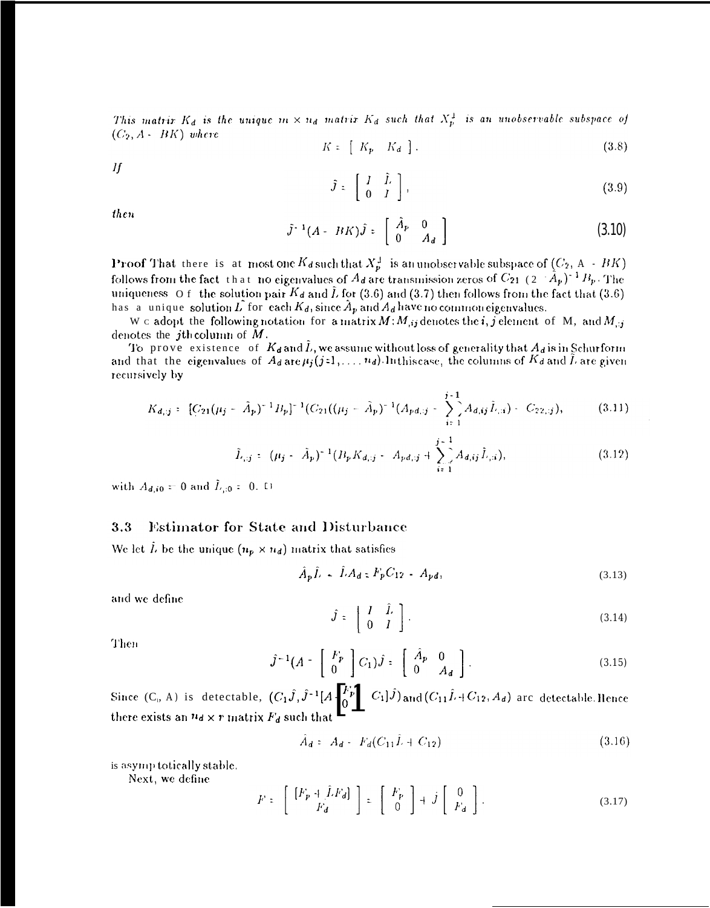This matrix  $K_d$  is the unique  $m \times n_d$  matrix  $K_d$  such that  $X_p^{\perp}$  is an unobservable subspace of  $(C_2, A - BK)$  where

$$
K = \left[ \begin{array}{cc} K_p & K_d \end{array} \right].\tag{3.8}
$$

 $\int$ 

$$
\hat{J} = \left[ \begin{array}{cc} I & \hat{L} \\ 0 & I \end{array} \right],\tag{3.9}
$$

then

$$
\hat{J}^{-1}(A - BK)\hat{J} = \begin{bmatrix} \hat{A}_P & 0 \\ 0 & A_d \end{bmatrix}
$$
 (3.10)

**Proof That** there is at most one  $K_d$  such that  $X_p^{\perp}$  is an unobservable subspace of  $(C_2, A - BK)$ follows from the fact that no eigenvalues of  $A_d$  are transmission zeros of  $C_{21}$  (2  $\hat{A}_p$ )<sup>-1</sup> $B_p$ . The uniqueness O f the solution pair  $K_d$  and  $\tilde{L}$  for (3.6) and (3.7) then follows from the fact that (3.6) has a unique solution  $L$  for each  $K_d$ , since  $A_p$  and  $A_d$  have no common eigenvalues.

W c adopt the following notation for a matrix  $M: M_{,ij}$  denotes the *i*, *j* element of M, and  $M_{,ij}$ denotes the *j*th column of  $M$ .

To prove existence of  $K_d$  and  $\hat{L}$ , we assume without loss of generality that  $A_d$  is in Schurform and that the eigenvalues of  $A_d$  are  $\mu_j(j:1,\ldots,n_d)$ . In this case, the columns of  $K_d$  and  $\tilde{L}$  are given recursively by

$$
K_{d,j} = [C_{21}(\mu_j - \hat{A}_p)^{-1}B_p]^{-1}(C_{21}((\mu_j - \hat{A}_p)^{-1}(A_{pd,j} - \sum_{i=1}^{j-1} A_{d,i,j}\hat{L}_{i,i}) - C_{22,j}), \qquad (3.11)
$$

$$
\tilde{L}_{,ij} = (\mu_j - \tilde{A}_p)^{-1} (B_p K_{d_i;j} - A_{pd_i;j} + \sum_{i=1}^{j-1} A_{d_iij} \tilde{L}_{,ii}),
$$
\n(3.12)

with  $A_{d,i0} = 0$  and  $\tilde{L}_{i,0} = 0$ .  $\Box$ 

#### $3.3$ **Estimator for State and Disturbance**

We let  $\hat{L}$  be the unique  $(n_p \times n_d)$  matrix that satisfies

$$
\hat{A}_{p}\hat{L} - \hat{L}A_{d} = F_{p}C_{12} - A_{pd}, \qquad (3.13)
$$

and we define

$$
\hat{J} = \left[ \begin{array}{cc} I & \hat{L} \\ 0 & I \end{array} \right].\tag{3.14}
$$

Then

$$
\hat{J}^{-1}(A - \begin{bmatrix} F_p \\ 0 \end{bmatrix} C_1) \hat{J} = \begin{bmatrix} \hat{A}_p & 0 \\ 0 & A_d \end{bmatrix}.
$$
 (3.15)

Since  $(C_i, A)$  is detectable,  $(C_1 \hat{J}, \hat{J}^{-1}[A \begin{bmatrix} F_p \\ 0 \end{bmatrix} C_1] \hat{J})$  and  $(C_{11} \hat{L} + C_{12}, A_d)$  are detectable. Hence there exists an  $n_d \times r$  matrix  $F_d$  such that

$$
\hat{A}_d = A_d - F_d(C_{11}\hat{L} + C_{12}) \tag{3.16}
$$

is asymp totically stable.

Next, we define

$$
F = \begin{bmatrix} [F_p + \hat{L}F_d] \\ F_d \end{bmatrix} = \begin{bmatrix} F_p \\ 0 \end{bmatrix} + \hat{J} \begin{bmatrix} 0 \\ F_d \end{bmatrix}.
$$
 (3.17)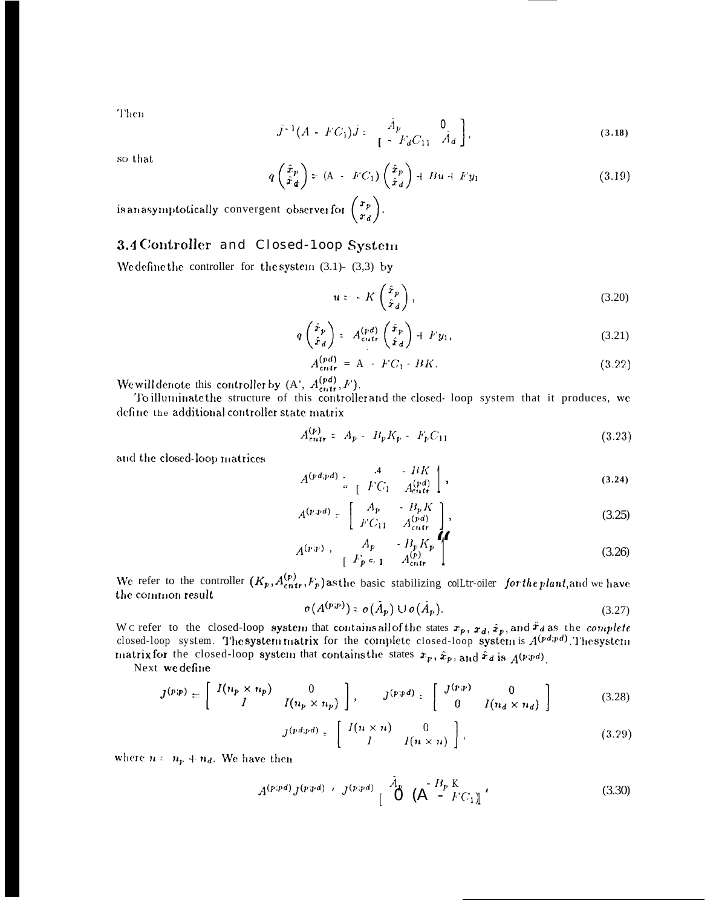Then

$$
\hat{J}^{-1}(A - FC_1)\hat{J} := \frac{\hat{A}_P}{I - F_dC_{11}} \frac{0}{\hat{A}_d}.
$$
 (3.18)

so that

$$
q\left(\begin{array}{c}\hat{x}_p\\\hat{x}_d\end{array}\right) = (A - FC_1)\left(\begin{array}{c}\hat{x}_p\\\hat{x}_d\end{array}\right) + Bu + Fy_1\tag{3.19}
$$

is an asymptotically convergent observer for  $\binom{x_p}{x_d}$ .

### 3.4 Controller and Closed-100p System

We define the controller for the system  $(3.1)$ -  $(3,3)$  by

$$
u = -K\left(\frac{\hat{x}_p}{\hat{x}_d}\right),\tag{3.20}
$$

$$
q\left(\frac{\hat{x}_p}{\hat{x}_d}\right) := A_{\text{cntr}}^{\left(\frac{rd}{r}\right)}\left(\frac{\hat{x}_p}{\hat{x}_d}\right) + F y_1,\tag{3.21}
$$

$$
A_{\text{cnif}}^{\{pd\}} = A - F C_1 - BK. \tag{3.22}
$$

We will denote this controller by  $(A', A_{\text{cntr}}^{(pa)}, F)$ .

To illuminate the structure of this controller and the closed-loop system that it produces, we define the additional controller state matrix

$$
A_{\text{crit}}^{(p)} = A_p - B_p K_p - F_p C_{11}
$$
\n(3.23)

and the closed-loop matrices

$$
A^{(pd;pd)} \cdot \begin{array}{c} A \quad B K \\ \cdots \quad F C_1 \quad A^{(pd)}_{\text{cntr}} \end{array} , \tag{3.24}
$$

$$
A^{(p;pd)} = \begin{bmatrix} A_p & \cdot & B_p K \\ F C_{11} & A_{\text{cntr}}^{(pd)} \end{bmatrix},\tag{3.25}
$$

$$
A^{(p;p)} \; , \qquad A_p \qquad B_p K_p \qquad (3.26)
$$
\n
$$
[F_p c, 1 \qquad A_{\text{cntr}}^{(p)}]
$$

We refer to the controller  $(K_p, A_{\text{cntr}}^{(p)}, F_p)$  as the basic stabilizing *collat-oiler for the plant*, and we have the common result

$$
\sigma(A^{(p;p)}) \ge \sigma(\hat{A}_p) \cup \sigma(\hat{A}_p). \tag{3.27}
$$

We refer to the closed-loop system that contains all of the states  $x_p$ ,  $x_d$ ,  $\hat{x}_p$ , and  $\hat{x}_d$  as the complete closed-loop system. The system matrix for the complete closed-loop system is  $A^{(pd;pd)}$ . The system matrix for the closed-loop system that contains the states  $x_p$ ,  $\hat{x}_p$ , and  $\hat{x}_d$  is  $A^{(p;pd)}$ .

Next we define

$$
J^{(p;p)} = \begin{bmatrix} I(n_p \times n_p) & 0 \\ I & I(n_p \times n_p) \end{bmatrix}, \qquad J^{(p;p)} : \begin{bmatrix} J^{(p;p)} & 0 \\ 0 & I(n_d \times n_d) \end{bmatrix}
$$
(3.28)

$$
J^{(pd;pd)} \; : \; \begin{bmatrix} I(n \times n) & 0 \\ I & I(n \times n) \end{bmatrix}, \tag{3.29}
$$

where  $n = n_p + n_d$ . We have then

$$
A^{(p;pd)} J^{(p;pd)} \to J^{(p;pd)} \stackrel{\tilde{A}_p}{\downharpoonright} \mathbf{0} \quad (\mathbf{A}^{-B_p} K_{C_1}) \quad (3.30)
$$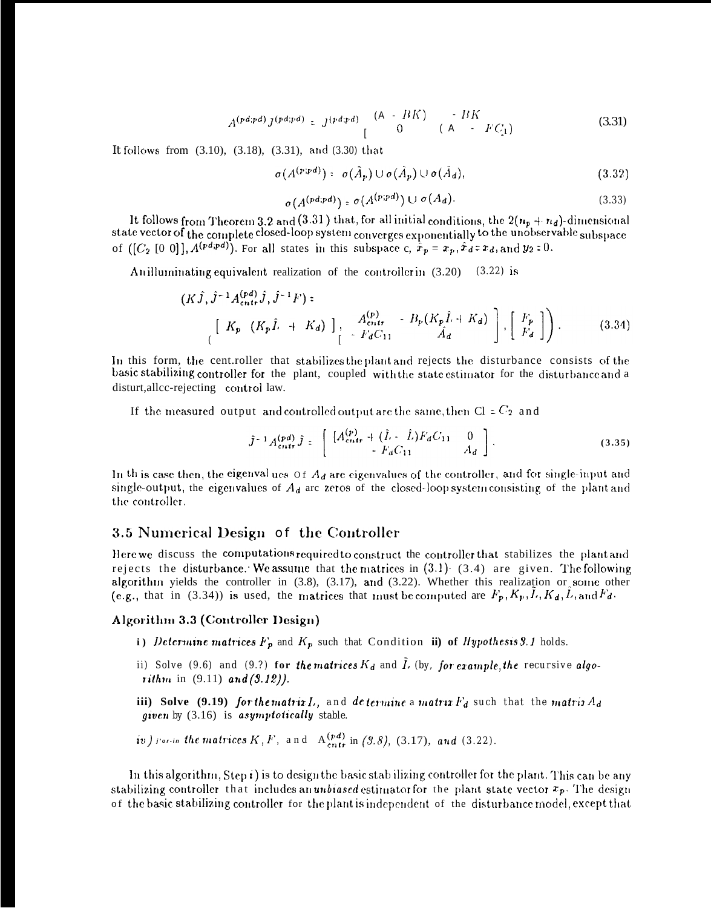$$
A^{(pd;pd)} J^{(pd;pd)} = J^{(pd;pd)} \begin{bmatrix} (\mathbf{A} - BK) & -BK \\ 0 & (\mathbf{A} - FC_1) \end{bmatrix}
$$
 (3.31)

It follows from  $(3.10)$ ,  $(3.18)$ ,  $(3.31)$ , and  $(3.30)$  that

$$
\sigma(A^{(p;pd)}) : \sigma(\hat{A}_p) \cup \sigma(\hat{A}_p) \cup \sigma(\hat{A}_d), \qquad (3.32)
$$

$$
\sigma(A^{(pd;pd)}) = \sigma(A^{(p;pd)}) \cup \sigma(A_d). \tag{3.33}
$$

It follows from Theorem 3.2 and (3.31) that, for all initial conditions, the  $2(n_p + n_d)$ -dimensional state vector of the complete closed-loop system converges exponentially to the unobservable subspace of  $([C_2 \t[0 \t0]], A^{(pd;pd)}).$  For all states in this subspace c,  $\hat{x}_p = x_p, \hat{x}_d \in x_d$ , and  $y_2 \neq 0$ .

Anilluminating equivalent realization of the controller in  $(3.20)$   $(3.22)$  is

$$
(K\hat{J}, \hat{J}^{-1}A_{\text{cntr}}^{(pd)}\hat{J}, \hat{J}^{-1}F) =
$$
\n
$$
\begin{bmatrix}\nK_{\mathbf{p}} & (K_{\mathbf{p}}\hat{L} + K_{d})\n\end{bmatrix}, \quad\n\begin{bmatrix}\nA_{\text{cntr}}^{(p)} & -B_{p}(K_{p}\hat{L} + K_{d}) \\
K_{d}\hat{A}_{d}\n\end{bmatrix}, \quad\n\begin{bmatrix}\nF_{p} \\
F_{d}\n\end{bmatrix}.
$$
\n(3.34)

In this form, the centroller that stabilizes the plant and rejects the disturbance consists of the basic stabilizing controller for the plant, coupled with the state estimator for the disturbance and a disturt, allcc-rejecting control law.

If the measured output and controlled output are the same, then Cl =  $C_2$  and

$$
\hat{J}^{-1}A_{\text{cnit}}^{(pd)}\hat{J} = \begin{bmatrix} [A_{\text{cnit}}^{(p)} + (\hat{L} - \hat{L})F_dC_{11} & 0 \\ -F_dC_{11} & A_d \end{bmatrix}.
$$
 (3.35)

In this case then, the eigenvalues of  $A_d$  are eigenvalues of the controller, and for single-input and single-output, the eigenvalues of  $A_d$  are zeros of the closed-loop system consisting of the plant and the controller.

### 3.5 Numerical Design of the Controller

Here we discuss the computations required to construct the controller that stabilizes the plant and rejects the disturbance. We assume that the matrices in  $(3.1)$   $(3.4)$  are given. The following algorithm yields the controller in (3.8), (3.17), and (3.22). Whether this realization or some other (e.g., that in (3.34)) is used, the matrices that must be computed are  $F_p$ ,  $K_p$ ,  $\tilde{L}$ ,  $K_d$ ,  $\tilde{L}$ , and  $F_d$ .

### Algorithm 3.3 (Controller Design)

- i) Determine matrices  $F_p$  and  $K_p$  such that Condition ii) of Hypothesis 9.1 holds.
- ii) Solve (9.6) and (9.2) for the matrices  $K_d$  and  $\tilde{L}$  (by, for example, the recursive algo*rithm* in  $(9.11)$  and  $(9.12)$ .
- iii) Solve (9.19) for the matrix L, and determine a matrix  $F_d$  such that the matrix  $A_d$ given by (3.16) is asymptotically stable.
- iv) For-in the matrices  $K, F$ , and  $A_{\text{cntr}}^{(rd)}$  in (9.8), (3.17), and (3.22).

In this algorithm,  $Step i$  is to design the basic stabilizing controller for the plant. This can be any stabilizing controller that includes an unbiased estimator for the plant state vector  $x_p$ . The design of the basic stabilizing controller for the plant is independent of the disturbance model, except that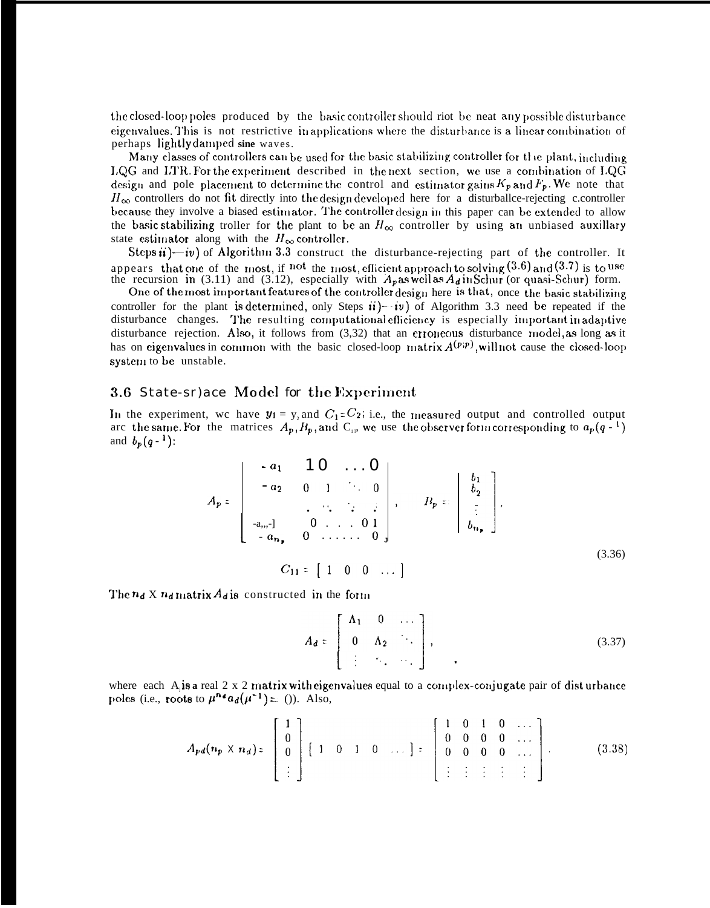the closed-loop poles produced by the basic controller should riot be neat any possible disturbance eigenvalues. This is not restrictive inapplications where the disturbance is a linear combination of perhaps lightly damped sine waves.

Many classes of controllers can be used for the basic stabilizing controller for the plant, including LQG and LTR. For the experiment described in the next section, we use a combination of LQG design and pole placement to determine the control and estimator gains  $K_p$  and  $F_p$ . We note that  $H_{\infty}$  controllers do not fit directly into the design developed here for a disturballce-rejecting c.controller because they involve a biased estimator. The controller design in this paper can be extended to allow the basic stabilizing troller for the plant to be an  $H_{\infty}$  controller by using an unbiased auxillary state estimator along with the  $H_{\infty}$  controller.

Steps  $\ddot{\mathbf{i}}$   $\rightarrow$   $\dot{\mathbf{i}}$  of Algorithm 3.3 construct the disturbance-rejecting part of the controller. It appears that one of the most, if not the most, efficient approach to solving  $(3.6)$  and  $(3.7)$  is to use the recursion in  $(3.11)$  and  $(3.12)$ , especially with  $A_p$  as well as  $A_d$  in Schur (or quasi-Schur) form.

One of the most important features of the controller design here is that, once the basic stabilizing controller for the plant is determined, only Steps  $\mathbf{u}$ ) -  $\mathbf{u}$  of Algorithm 3.3 need be repeated if the disturbance changes. The resulting computational efficiency is especially important in adaptive disturbance rejection. Also, it follows from (3,32) that an erroneous disturbance model, as long as it has on eigenvalues in common with the basic closed-loop matrix  $A^{(p;p)}$ , will not cause the closed-loop system to be unstable.

### 3.6 State-sr) ace Model for the Experiment

In the experiment, we have  $y_1 = y_2$  and  $C_1 = C_2$ ; i.e., the measured output and controlled output are the same. For the matrices  $A_p$ ,  $B_p$ , and  $C_p$ , we use the observer form corresponding to  $a_p(q-1)$ and  $b_p(q-1)$ :

$$
A_{p} = \begin{bmatrix} -a_{1} & 1 & 0 & \dots & 0 \\ -a_{2} & 0 & 1 & \dots & 0 \\ \vdots & \vdots & \vdots & \vdots & \vdots \\ -a_{m-1} & 0 & \dots & 0 & 1 \\ -a_{n_{p}} & 0 & \dots & \dots & 0 \end{bmatrix}, \qquad B_{p} = \begin{bmatrix} b_{1} \\ b_{2} \\ \vdots \\ b_{n_{p}} \end{bmatrix}, \qquad (3.36)
$$

The  $n_d$  X  $n_d$  matrix  $A_d$  is constructed in the form

$$
A_d = \begin{bmatrix} \Lambda_1 & 0 & \cdots \\ 0 & \Lambda_2 & \ddots \\ \vdots & \ddots & \ddots \end{bmatrix},\tag{3.37}
$$

where each A is a real 2 x 2 matrix with eigenvalues equal to a complex-conjugate pair of disturbance poles (i.e., roots to  $\mu^{n_d} a_d(\mu^{-1}) =$  ()). Also,

$$
A_{pd}(n_p \times n_d) = \begin{bmatrix} 1 \\ 0 \\ 0 \\ \vdots \end{bmatrix} [1 \quad 0 \quad 1 \quad 0 \quad \dots ] = \begin{bmatrix} 1 & 0 & 1 & 0 & \dots \\ 0 & 0 & 0 & 0 & \dots \\ 0 & 0 & 0 & 0 & \dots \\ \vdots & \vdots & \vdots & \vdots & \vdots \end{bmatrix} . \tag{3.38}
$$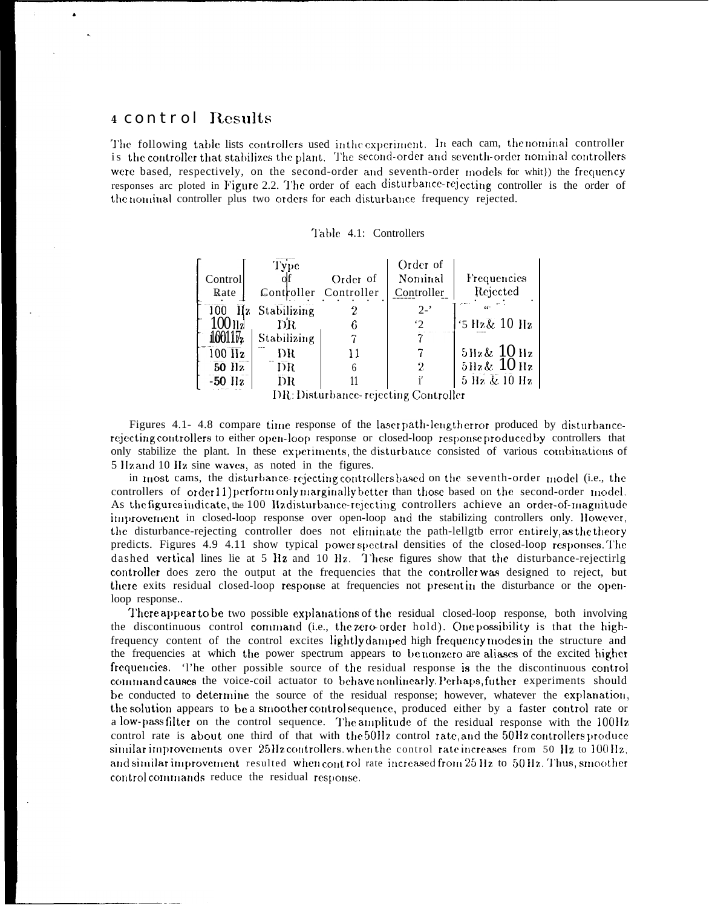### 4 control Results

The following table lists controllers used in the experiment. In each cam, the nominal controller is the controller that stabilizes the plant. The second-order and seventh-order nominal controllers were based, respectively, on the second-order and seventh-order models for whit}) the frequency responses arc ploted in Figure 2.2. The order of each disturbance-rejecting controller is the order of the nominal controller plus two orders for each disturbance frequency rejected.

|  | Table 4.1: Controllers |
|--|------------------------|
|  |                        |

| Control<br>Rate                      | Type<br>Controller Controller | Order of | Order of<br>Nominal<br>Controller | Frequencies<br>Rejected |  |
|--------------------------------------|-------------------------------|----------|-----------------------------------|-------------------------|--|
| 100                                  | Hz Stabilizing                | 2        | $2 -$                             |                         |  |
| $100$ $\rm{Hz}$<br>100117            | DR.<br>Stabilizing            | 6        | $\mathcal{L}$                     | '5 Hz& 10 Hz            |  |
| $100$ $\overline{\text{Hz}}$         | ÐR                            | 11       |                                   | $5Hz\& 10Hz$            |  |
| $50$ $\text{Hz}$                     | DR                            | 6        | 2                                 | $5Hz$ & 10 Hz           |  |
| $-50$ $\text{Hz}$                    | DR                            |          |                                   | 5 Hz & 10 Hz            |  |
| DR: Disturbance-rejecting Controller |                               |          |                                   |                         |  |

Figures 4.1-4.8 compare time response of the laser path-length error produced by disturbancerejecting controllers to either open-loop response or closed-loop response produced by controllers that only stabilize the plant. In these experiments, the disturbance consisted of various combinations of 5 Hz and 10 Hz sine waves, as noted in the figures.

in most cams, the disturbance-rejecting controllers based on the seventh-order model (i.e., the controllers of order 11) perform only marginally better than those based on the second-order model. As the figures indicate, the 100 Hz disturbance-rejecting controllers achieve an order-of-magnitude improvement in closed-loop response over open-loop and the stabilizing controllers only. However, the disturbance-rejecting controller does not eliminate the path-lellgtb error entirely, as the theory predicts. Figures 4.9 4.11 show typical power spectral densities of the closed-loop responses. The dashed vertical lines lie at 5 Hz and 10 Hz. These figures show that the disturbance-rejectirlg controller does zero the output at the frequencies that the controller was designed to reject, but there exits residual closed-loop response at frequencies not present in the disturbance or the openloop response..

There appear to be two possible explanations of the residual closed-loop response, both involving the discontinuous control command (i.e., the zero-order hold). One possibility is that the highfrequency content of the control excites lightly damped high frequency modes in the structure and the frequencies at which the power spectrum appears to be nonzero are aliases of the excited higher frequencies. The other possible source of the residual response is the the discontinuous control command causes the voice-coil actuator to behave nonlinearly. Perhaps, futher experiments should be conducted to determine the source of the residual response; however, whatever the explanation, the solution appears to be a smoother control sequence, produced either by a faster control rate or a low-pass filter on the control sequence. The amplitude of the residual response with the 100Hz control rate is about one third of that with the 50Hz control rate, and the 50Hz controllers produce similar improvements over 25Hz controllers when the control rate increases from 50 Hz to 100Hz. and similar improvement resulted when control rate increased from 25 Hz to 50 Hz. Thus, smoother control commands reduce the residual response.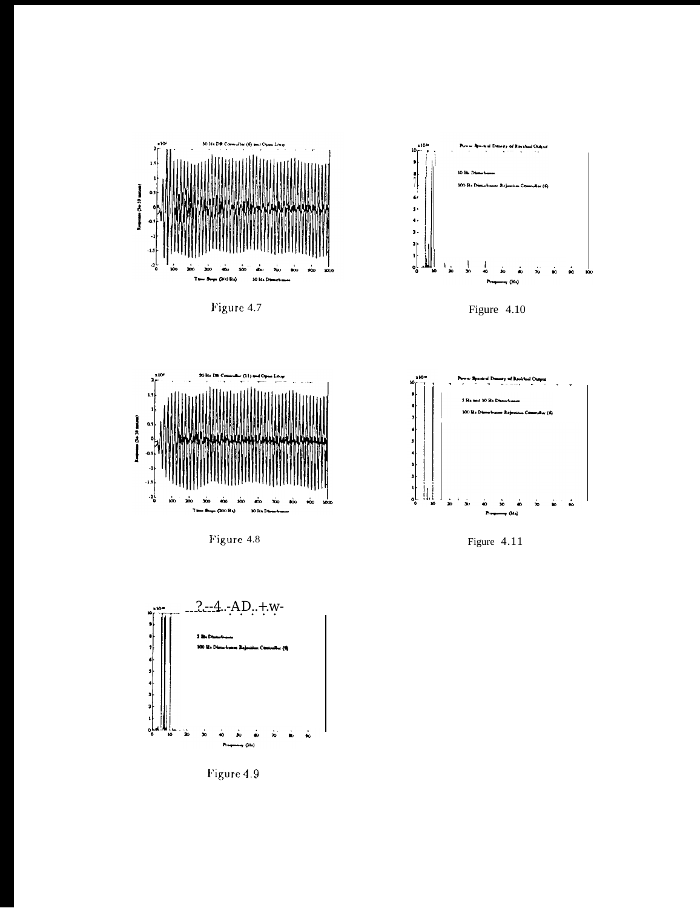





Figure 4.10



Figure 4.8



Figure 4.11



Figure 4.9